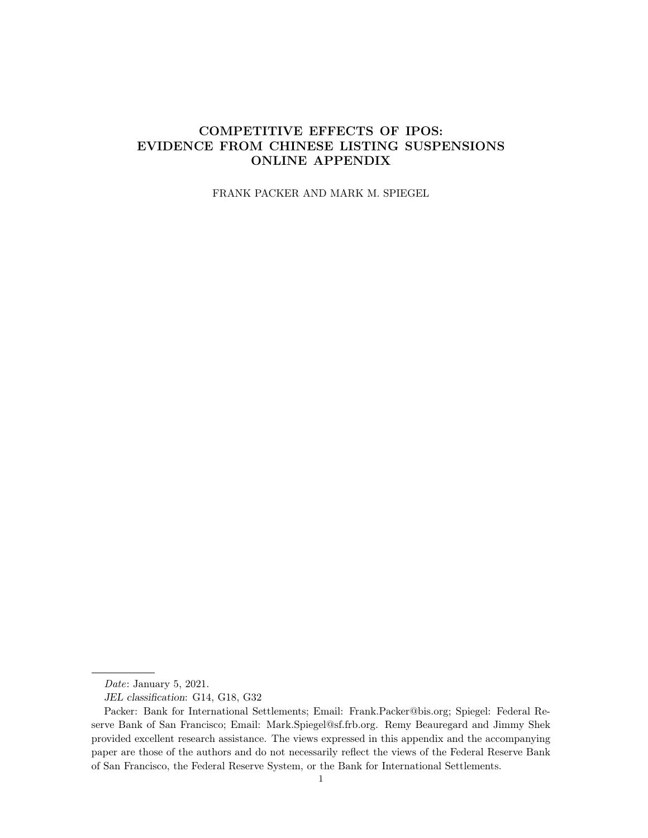# COMPETITIVE EFFECTS OF IPOS: EVIDENCE FROM CHINESE LISTING SUSPENSIONS ONLINE APPENDIX

FRANK PACKER AND MARK M. SPIEGEL

Date: January 5, 2021.

JEL classification: G14, G18, G32

Packer: Bank for International Settlements; Email: Frank.Packer@bis.org; Spiegel: Federal Reserve Bank of San Francisco; Email: Mark.Spiegel@sf.frb.org. Remy Beauregard and Jimmy Shek provided excellent research assistance. The views expressed in this appendix and the accompanying paper are those of the authors and do not necessarily reflect the views of the Federal Reserve Bank of San Francisco, the Federal Reserve System, or the Bank for International Settlements.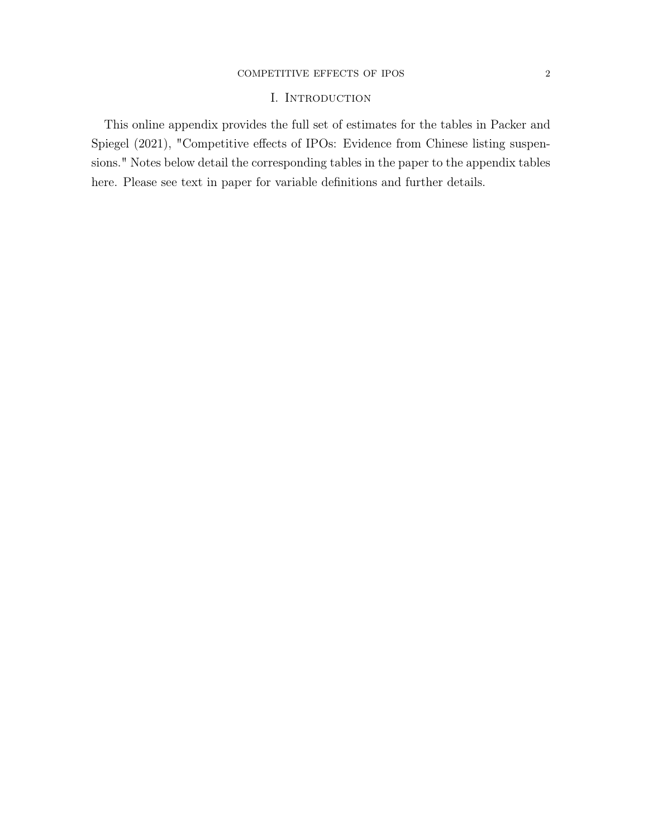### ${\bf COMPETITIVE}\xspace$   ${\bf EFFECTS}$   ${\bf OF}$   ${\bf IPSS}$   ${\bf 2}$

## I. INTRODUCTION

This online appendix provides the full set of estimates for the tables in Packer and Spiegel (2021), "Competitive effects of IPOs: Evidence from Chinese listing suspensions." Notes below detail the corresponding tables in the paper to the appendix tables here. Please see text in paper for variable definitions and further details.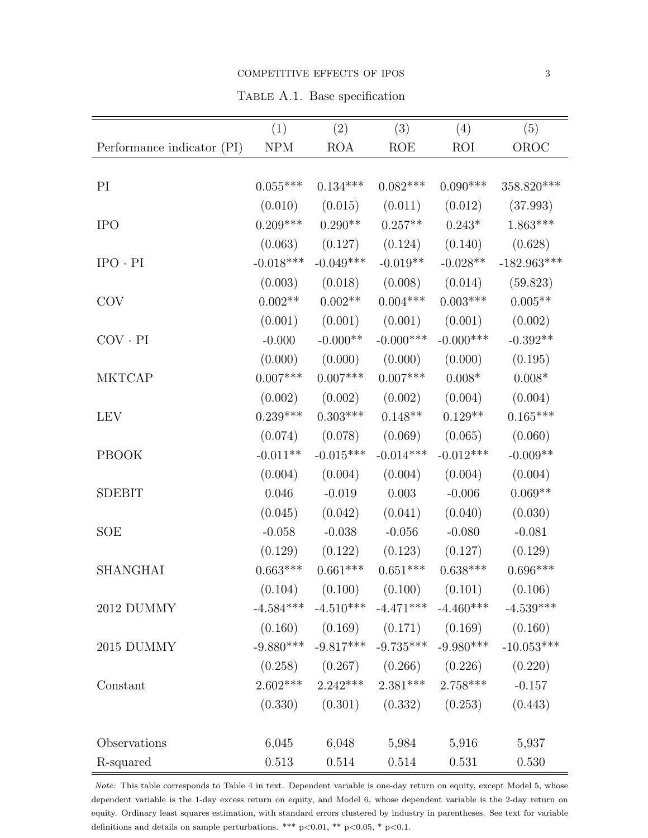#### COMPETITIVE EFFECTS OF IPOS 3

Table A.1. Base specification

|                            | (1)         | (2)         | (3)                                 | (4)                                               | (5)             |
|----------------------------|-------------|-------------|-------------------------------------|---------------------------------------------------|-----------------|
| Performance indicator (PI) | ${\rm NPM}$ | <b>ROA</b>  | ROE                                 | <b>ROI</b>                                        | OROC            |
|                            |             |             |                                     |                                                   |                 |
| PI                         | $0.055***$  | $0.134***$  | $0.082***$                          | $0.090***$                                        | 358.820***      |
|                            | (0.010)     | (0.015)     | (0.011)                             | (0.012)                                           | (37.993)        |
| <b>IPO</b>                 | $0.209***$  | $0.290**$   | $0.257**$                           | $0.243*$                                          | $1.863***$      |
|                            | (0.063)     | (0.127)     | (0.124)                             | (0.140)                                           | (0.628)         |
| $IPO \cdot PI$             | $-0.018***$ | $-0.049***$ | $-0.019**$                          | $-0.028**$                                        | $-182.963***$   |
|                            | (0.003)     | (0.018)     | (0.008)                             | (0.014)                                           | (59.823)        |
| <b>COV</b>                 | $0.002**$   | $0.002**$   | $0.004***$                          | $0.003***$                                        | $0.005**$       |
|                            | (0.001)     | (0.001)     | (0.001)                             | (0.001)                                           | (0.002)         |
| $COV \cdot PI$             | $-0.000$    | $-0.000**$  | $-0.000$ ***                        | $-0.000***$                                       | $-0.392**$      |
|                            | (0.000)     | (0.000)     | (0.000)                             | (0.000)                                           | (0.195)         |
| <b>MKTCAP</b>              | $0.007***$  | $0.007***$  | $0.007***$                          | $0.008^{\ast}$                                    | $0.008^{\ast}$  |
|                            | (0.002)     | (0.002)     | (0.002)                             | (0.004)                                           | (0.004)         |
| <b>LEV</b>                 | $0.239***$  | $0.303***$  | $0.148**$                           | $0.129**$                                         | $0.165^{***}\,$ |
|                            | (0.074)     | (0.078)     | (0.069)                             | (0.065)                                           | (0.060)         |
| <b>PBOOK</b>               | $-0.011**$  | $-0.015***$ | $-0.014***$                         | $-0.012***$                                       | $-0.009**$      |
|                            | (0.004)     | (0.004)     | (0.004)                             | (0.004)                                           | (0.004)         |
| <b>SDEBIT</b>              | 0.046       | $-0.019$    | $0.003\,$                           | $-0.006$                                          | $0.069**$       |
|                            | (0.045)     | (0.042)     | (0.041)                             | (0.040)                                           | (0.030)         |
| <b>SOE</b>                 | $-0.058$    | $-0.038$    | $-0.056$                            | $-0.080$                                          | $-0.081$        |
|                            | (0.129)     | (0.122)     | (0.123)                             | (0.127)                                           | (0.129)         |
| <b>SHANGHAI</b>            | $0.663***$  | $0.661***$  | $0.651***$                          | $0.638***$                                        | $0.696***$      |
|                            |             |             |                                     | $(0.104)$ $(0.100)$ $(0.100)$ $(0.101)$ $(0.106)$ |                 |
| 2012 DUMMY                 |             |             |                                     | $-4.584***$ $-4.510***$ $-4.471***$ $-4.460***$   | $-4.539***$     |
|                            |             |             |                                     | $(0.160)$ $(0.169)$ $(0.171)$ $(0.169)$           | (0.160)         |
| 2015 DUMMY                 |             |             | $-9.880***$ $-9.817***$ $-9.735***$ | $-9.980***$                                       | $-10.053***$    |
|                            | (0.258)     |             |                                     | $(0.267)$ $(0.266)$ $(0.226)$                     | (0.220)         |
| Constant                   | $2.602***$  | $2.242***$  | $2.381***$                          | $2.758***$                                        | $-0.157$        |
|                            | (0.330)     |             | $(0.301)$ $(0.332)$                 | (0.253)                                           | (0.443)         |
|                            |             |             |                                     |                                                   |                 |
| Observations               | 6,045       | 6,048       | 5,984                               | 5,916                                             | 5,937           |
| R-squared                  | 0.513       | 0.514       | 0.514                               | 0.531                                             | $0.530\,$       |

Note: This table corresponds to Table 4 in text. Dependent variable is one-day return on equity, except Model 5, whose dependent variable is the 1-day excess return on equity, and Model 6, whose dependent variable is the 2-day return on equity. Ordinary least squares estimation, with standard errors clustered by industry in parentheses. See text for variable definitions and details on sample perturbations. \*\*\* p<0.01, \*\* p<0.05, \* p<0.1.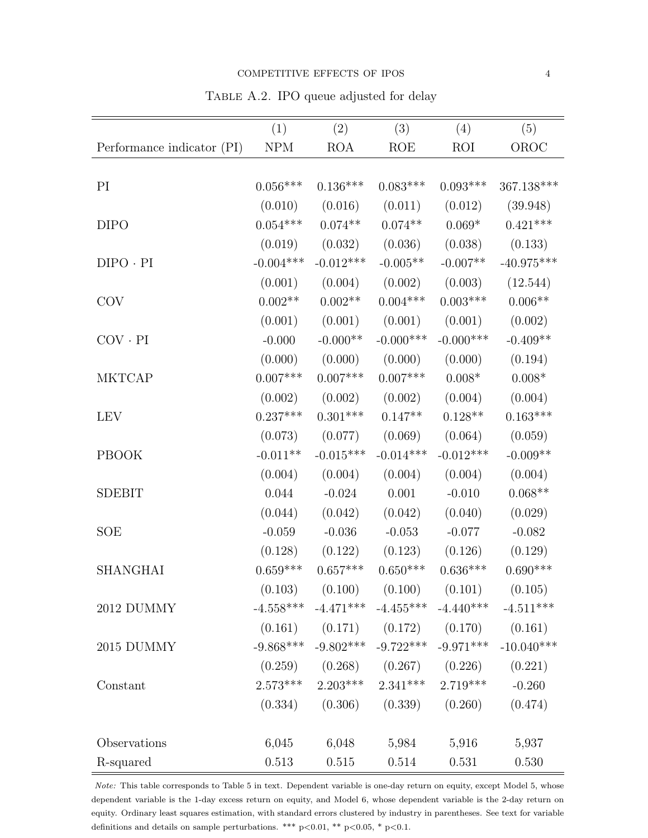Table A.2. IPO queue adjusted for delay

|                            | (1)         | (2)             | (3)             | (4)                                               | (5)                                                          |
|----------------------------|-------------|-----------------|-----------------|---------------------------------------------------|--------------------------------------------------------------|
| Performance indicator (PI) | <b>NPM</b>  | <b>ROA</b>      | <b>ROE</b>      | <b>ROI</b>                                        | OROC                                                         |
|                            |             |                 |                 |                                                   |                                                              |
| PI                         | $0.056***$  | $0.136***$      | $0.083***$      | $0.093***$                                        | 367.138***                                                   |
|                            | (0.010)     | (0.016)         | (0.011)         | (0.012)                                           | (39.948)                                                     |
| <b>DIPO</b>                | $0.054***$  | $0.074**$       | $0.074**$       | $0.069*$                                          | $0.421***$                                                   |
|                            | (0.019)     | (0.032)         | (0.036)         | (0.038)                                           | (0.133)                                                      |
| $DIPO \cdot PI$            | $-0.004***$ | $-0.012***$     | $-0.005**$      | $-0.007**$                                        | $-40.975***$                                                 |
|                            | (0.001)     | (0.004)         | (0.002)         | (0.003)                                           | (12.544)                                                     |
| COV                        | $0.002**$   | $0.002**$       | $0.004***$      | $0.003***$                                        | $0.006**$                                                    |
|                            | (0.001)     | (0.001)         | (0.001)         | (0.001)                                           | (0.002)                                                      |
| $COV \cdot PI$             | $-0.000$    | $-0.000**$      | $-0.000$ ***    | $-0.000$ ***                                      | $-0.409**$                                                   |
|                            | (0.000)     | (0.000)         | (0.000)         | (0.000)                                           | (0.194)                                                      |
| <b>MKTCAP</b>              | $0.007***$  | $0.007^{***}\;$ | $0.007^{***}\;$ | $0.008^{\ast}$                                    | $0.008^{\ast}$                                               |
|                            | (0.002)     | (0.002)         | (0.002)         | (0.004)                                           | (0.004)                                                      |
| <b>LEV</b>                 | $0.237***$  | $0.301^{***}\;$ | $0.147**$       | $0.128**$                                         | $0.163^{***}\,$                                              |
|                            | (0.073)     | (0.077)         | (0.069)         | (0.064)                                           | (0.059)                                                      |
| <b>PBOOK</b>               | $-0.011**$  | $-0.015***$     | $-0.014***$     | $-0.012***$                                       | $-0.009**$                                                   |
|                            | (0.004)     | (0.004)         | (0.004)         | (0.004)                                           | (0.004)                                                      |
| <b>SDEBIT</b>              | 0.044       | $-0.024$        | 0.001           | $-0.010$                                          | $0.068**$                                                    |
|                            | (0.044)     | (0.042)         | (0.042)         | (0.040)                                           | (0.029)                                                      |
| SOE                        | $-0.059$    | $-0.036$        | $-0.053$        | $-0.077$                                          | $-0.082$                                                     |
|                            | (0.128)     | (0.122)         | (0.123)         | (0.126)                                           | (0.129)                                                      |
| <b>SHANGHAI</b>            | $0.659***$  | $0.657***$      | $0.650***$      | $0.636***$                                        | $0.690***$                                                   |
|                            |             |                 |                 | $(0.103)$ $(0.100)$ $(0.100)$ $(0.101)$ $(0.105)$ |                                                              |
| 2012 DUMMY                 |             |                 |                 | $-4.558***$ $-4.471***$ $-4.455***$ $-4.440***$   | $-4.511***$                                                  |
|                            |             |                 |                 | $(0.161)$ $(0.171)$ $(0.172)$ $(0.170)$ $(0.161)$ |                                                              |
| 2015 DUMMY                 |             |                 |                 |                                                   | $-9.868***$ $-9.802***$ $-9.722***$ $-9.971***$ $-10.040***$ |
|                            |             |                 |                 | $(0.259)$ $(0.268)$ $(0.267)$ $(0.226)$           | (0.221)                                                      |
| Constant                   |             |                 |                 | $2.573***$ $2.203***$ $2.341***$ $2.719***$       | $-0.260$                                                     |
|                            |             |                 |                 | $(0.334)$ $(0.306)$ $(0.339)$ $(0.260)$           | (0.474)                                                      |
|                            |             |                 |                 |                                                   |                                                              |
| Observations               | 6,045       | 6,048           | 5,984           | 5,916                                             | 5,937                                                        |
| R-squared                  | 0.513       | 0.515           | 0.514           | 0.531                                             | 0.530                                                        |

Note: This table corresponds to Table 5 in text. Dependent variable is one-day return on equity, except Model 5, whose dependent variable is the 1-day excess return on equity, and Model 6, whose dependent variable is the 2-day return on equity. Ordinary least squares estimation, with standard errors clustered by industry in parentheses. See text for variable definitions and details on sample perturbations. \*\*\* p<0.01, \*\* p<0.05, \* p<0.1.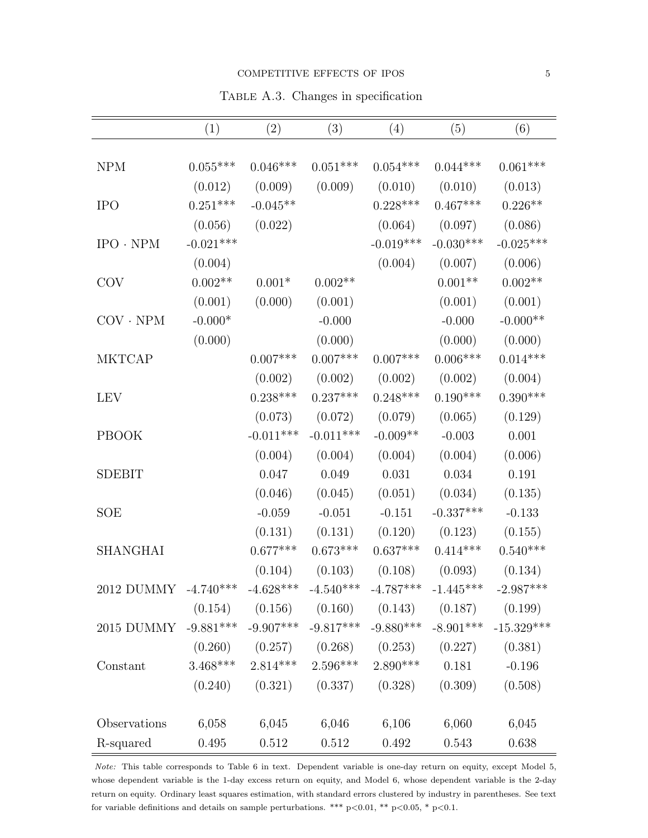#### $$

Table A.3. Changes in specification

|                                                                         | (1)         | (2)         | (3)                                                                                                       | (4)         | (5)         | (6)         |
|-------------------------------------------------------------------------|-------------|-------------|-----------------------------------------------------------------------------------------------------------|-------------|-------------|-------------|
|                                                                         |             |             |                                                                                                           |             |             |             |
| <b>NPM</b>                                                              | $0.055***$  | $0.046***$  | $0.051***$                                                                                                | $0.054***$  | $0.044***$  | $0.061***$  |
|                                                                         | (0.012)     | (0.009)     | (0.009)                                                                                                   | (0.010)     | (0.010)     | (0.013)     |
| <b>IPO</b>                                                              | $0.251***$  | $-0.045**$  |                                                                                                           | $0.228***$  | $0.467***$  | $0.226**$   |
|                                                                         | (0.056)     | (0.022)     |                                                                                                           | (0.064)     | (0.097)     | (0.086)     |
| $IPO \cdot NPM$                                                         | $-0.021***$ |             |                                                                                                           | $-0.019***$ | $-0.030***$ | $-0.025***$ |
|                                                                         | (0.004)     |             |                                                                                                           | (0.004)     | (0.007)     | (0.006)     |
| <b>COV</b>                                                              | $0.002**$   | $0.001*$    | $0.002**$                                                                                                 |             | $0.001**$   | $0.002**$   |
|                                                                         | (0.001)     | (0.000)     | (0.001)                                                                                                   |             | (0.001)     | (0.001)     |
| $COV \cdot NPM$                                                         | $-0.000*$   |             | $-0.000$                                                                                                  |             | $-0.000$    | $-0.000**$  |
|                                                                         | (0.000)     |             | (0.000)                                                                                                   |             | (0.000)     | (0.000)     |
| <b>MKTCAP</b>                                                           |             | $0.007***$  | $0.007***$                                                                                                | $0.007***$  | $0.006***$  | $0.014***$  |
|                                                                         |             | (0.002)     | (0.002)                                                                                                   | (0.002)     | (0.002)     | (0.004)     |
| <b>LEV</b>                                                              |             | $0.238***$  | $0.237***$                                                                                                | $0.248***$  | $0.190***$  | $0.390***$  |
|                                                                         |             | (0.073)     | (0.072)                                                                                                   | (0.079)     | (0.065)     | (0.129)     |
| <b>PBOOK</b>                                                            |             | $-0.011***$ | $-0.011***$                                                                                               | $-0.009**$  | $-0.003$    | 0.001       |
|                                                                         |             | (0.004)     | (0.004)                                                                                                   | (0.004)     | (0.004)     | (0.006)     |
| <b>SDEBIT</b>                                                           |             | 0.047       | 0.049                                                                                                     | 0.031       | 0.034       | 0.191       |
|                                                                         |             | (0.046)     | (0.045)                                                                                                   | (0.051)     | (0.034)     | (0.135)     |
| SOE                                                                     |             | $-0.059$    | $-0.051$                                                                                                  | $-0.151$    | $-0.337***$ | $-0.133$    |
|                                                                         |             | (0.131)     | (0.131)                                                                                                   | (0.120)     | (0.123)     | (0.155)     |
| <b>SHANGHAI</b>                                                         |             | $0.677***$  | $0.673***$                                                                                                | $0.637***$  | $0.414***$  | $0.540***$  |
|                                                                         |             | (0.104)     | (0.103)                                                                                                   | (0.108)     | (0.093)     | (0.134)     |
| 2012 DUMMY -4.740*** -4.628*** -4.540*** -4.787*** -1.445*** -2.987***  |             |             |                                                                                                           |             |             |             |
|                                                                         |             |             | $(0.154)$ $(0.156)$ $(0.160)$ $(0.143)$ $(0.187)$ $(0.199)$                                               |             |             |             |
| 2015 DUMMY -9.881*** -9.907*** -9.817*** -9.880*** -8.901*** -15.329*** |             |             |                                                                                                           |             |             |             |
|                                                                         |             |             | $(0.260)$ $(0.257)$ $(0.268)$ $(0.253)$ $(0.227)$ $(0.381)$                                               |             |             |             |
| Constant                                                                |             |             | $3.468^{***} \quad 2.814^{***} \quad 2.596^{***} \quad 2.890^{***} \quad \quad 0.181 \qquad \quad -0.196$ |             |             |             |
|                                                                         |             |             | $(0.240)$ $(0.321)$ $(0.337)$ $(0.328)$                                                                   |             | (0.309)     | (0.508)     |
|                                                                         |             |             |                                                                                                           |             |             |             |
| Observations                                                            |             |             | $6,058$ $6,045$ $6,046$ $6,106$ $6,060$                                                                   |             |             | 6,045       |
| R-squared                                                               | 0.495       | 0.512       | 0.512                                                                                                     | 0.492       | 0.543       | 0.638       |

Note: This table corresponds to Table 6 in text. Dependent variable is one-day return on equity, except Model 5, whose dependent variable is the 1-day excess return on equity, and Model 6, whose dependent variable is the 2-day return on equity. Ordinary least squares estimation, with standard errors clustered by industry in parentheses. See text for variable definitions and details on sample perturbations. \*\*\* p<0.01, \*\* p<0.05, \* p<0.1.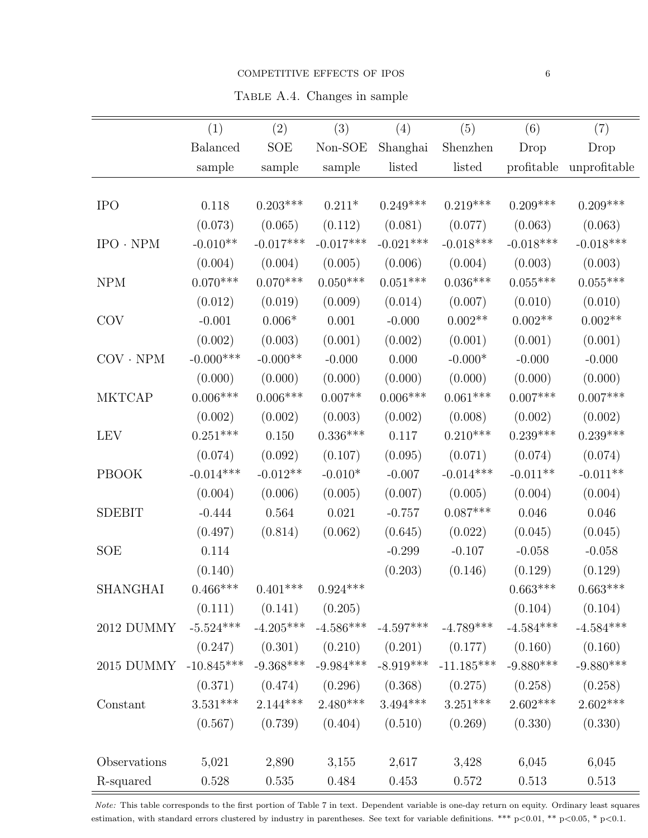### COMPETITIVE EFFECTS OF IPOS 6

Table A.4. Changes in sample

|                 | (1)              | (2)                   | (3)                     | (4)         | (5)                                     | (6)         | (7)          |
|-----------------|------------------|-----------------------|-------------------------|-------------|-----------------------------------------|-------------|--------------|
|                 | <b>Balanced</b>  | <b>SOE</b>            | Non-SOE                 | Shanghai    | Shenzhen                                | Drop        | Drop         |
|                 | sample           | sample                | sample                  | listed      | listed                                  | profitable  | unprofitable |
|                 |                  |                       |                         |             |                                         |             |              |
| <b>IPO</b>      | 0.118            | $0.203***$            | $0.211*$                | $0.249***$  | $0.219***$                              | $0.209***$  | $0.209***$   |
|                 | (0.073)          | (0.065)               | (0.112)                 | (0.081)     | (0.077)                                 | (0.063)     | (0.063)      |
| $IPO \cdot NPM$ | $-0.010**$       | $-0.017***$           | $-0.017***$             | $-0.021***$ | $-0.018***$                             | $-0.018***$ | $-0.018***$  |
|                 | (0.004)          | (0.004)               | (0.005)                 | (0.006)     | (0.004)                                 | (0.003)     | (0.003)      |
| <b>NPM</b>      | $0.070***$       | $0.070***$            | $0.050***$              | $0.051***$  | $0.036***$                              | $0.055***$  | $0.055***$   |
|                 | (0.012)          | (0.019)               | (0.009)                 | (0.014)     | (0.007)                                 | (0.010)     | (0.010)      |
| <b>COV</b>      | $-0.001$         | $0.006*$              | 0.001                   | $-0.000$    | $0.002**$                               | $0.002**$   | $0.002**$    |
|                 | (0.002)          | (0.003)               | (0.001)                 | (0.002)     | (0.001)                                 | (0.001)     | (0.001)      |
| $COV \cdot NPM$ | $-0.000^{***}\,$ | $-0.000**$            | $-0.000$                | 0.000       | $-0.000*$                               | $-0.000$    | $-0.000$     |
|                 | (0.000)          | (0.000)               | (0.000)                 | (0.000)     | (0.000)                                 | (0.000)     | (0.000)      |
| <b>MKTCAP</b>   | $0.006***$       | $0.006***$            | $0.007**$               | $0.006***$  | $0.061***$                              | $0.007***$  | $0.007***$   |
|                 | (0.002)          | (0.002)               | (0.003)                 | (0.002)     | (0.008)                                 | (0.002)     | (0.002)      |
| <b>LEV</b>      | $0.251***$       | 0.150                 | $0.336***$              | 0.117       | $0.210***$                              | $0.239***$  | $0.239***$   |
|                 | (0.074)          | (0.092)               | (0.107)                 | (0.095)     | (0.071)                                 | (0.074)     | (0.074)      |
| PBOOK           | $-0.014***$      | $-0.012**$            | $-0.010*$               | $-0.007$    | $-0.014***$                             | $-0.011**$  | $-0.011**$   |
|                 | (0.004)          | (0.006)               | (0.005)                 | (0.007)     | (0.005)                                 | (0.004)     | (0.004)      |
| <b>SDEBIT</b>   | $-0.444$         | 0.564                 | 0.021                   | $-0.757$    | $0.087***$                              | 0.046       | 0.046        |
|                 | (0.497)          | (0.814)               | (0.062)                 | (0.645)     | (0.022)                                 | (0.045)     | (0.045)      |
| <b>SOE</b>      | 0.114            |                       |                         | $-0.299$    | $-0.107$                                | $-0.058$    | $-0.058$     |
|                 | (0.140)          |                       |                         | (0.203)     | (0.146)                                 | (0.129)     | (0.129)      |
| <b>SHANGHAI</b> | $0.466***$       | $0.401***$ $0.924***$ |                         |             |                                         | $0.663***$  | $0.663***$   |
|                 | (0.111)          | (0.141)               | (0.205)                 |             |                                         | (0.104)     | (0.104)      |
| 2012 DUMMY      | $-5.524***$      |                       | $-4.205***$ $-4.586***$ | $-4.597***$ | $-4.789***$                             | $-4.584***$ | $-4.584***$  |
|                 | (0.247)          |                       |                         |             | $(0.301)$ $(0.210)$ $(0.201)$ $(0.177)$ | (0.160)     | (0.160)      |
| 2015 DUMMY      | $-10.845***$     | $-9.368***$           | $-9.984***$             | $-8.919***$ | $-11.185***$                            | $-9.880***$ | $-9.880***$  |
|                 | (0.371)          | (0.474)               | (0.296)                 | (0.368)     | (0.275)                                 | (0.258)     | (0.258)      |
| Constant        | $3.531***$       | $2.144***$            | $2.480***$              | $3.494***$  | $3.251***$                              | $2.602***$  | $2.602***$   |
|                 | (0.567)          | (0.739)               | (0.404)                 | (0.510)     | (0.269)                                 | (0.330)     | (0.330)      |
|                 |                  |                       |                         |             |                                         |             |              |
| Observations    | 5,021            | 2,890                 | 3,155                   | 2,617       | 3,428                                   | 6,045       | 6,045        |
| R-squared       | $0.528\,$        | $0.535\,$             | 0.484                   | 0.453       | $0.572\,$                               | $0.513\,$   | 0.513        |

Note: This table corresponds to the first portion of Table 7 in text. Dependent variable is one-day return on equity. Ordinary least squares estimation, with standard errors clustered by industry in parentheses. See text for variable definitions. \*\*\* p<0.01, \*\* p<0.05, \* p<0.1.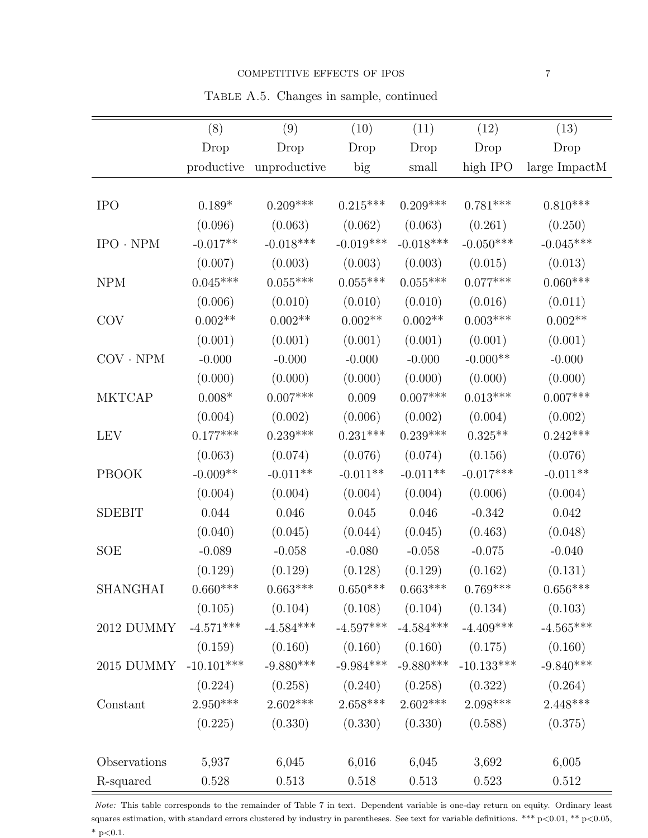Table A.5. Changes in sample, continued

|                 | (8)          | (9)                                     | (10)        | (11)        | (12)                          | (13)             |
|-----------------|--------------|-----------------------------------------|-------------|-------------|-------------------------------|------------------|
|                 | Drop         | Drop                                    | Drop        | Drop        | Drop                          | Drop             |
|                 |              | productive unproductive                 | big         | small       | high IPO                      | large ImpactM    |
|                 |              |                                         |             |             |                               |                  |
| <b>IPO</b>      | $0.189*$     | $0.209***$                              | $0.215***$  | $0.209***$  | $0.781***$                    | $0.810***$       |
|                 | (0.096)      | (0.063)                                 | (0.062)     | (0.063)     | (0.261)                       | (0.250)          |
| $IPO \cdot NPM$ | $-0.017**$   | $-0.018***$                             | $-0.019***$ | $-0.018***$ | $-0.050***$                   | $-0.045***$      |
|                 | (0.007)      | (0.003)                                 | (0.003)     | (0.003)     | (0.015)                       | (0.013)          |
| <b>NPM</b>      | $0.045***$   | $0.055***$                              | $0.055***$  | $0.055***$  | $0.077***$                    | $0.060***$       |
|                 | (0.006)      | (0.010)                                 | (0.010)     | (0.010)     | (0.016)                       | (0.011)          |
| <b>COV</b>      | $0.002**$    | $0.002**$                               | $0.002**$   | $0.002**$   | $0.003***$                    | $0.002**$        |
|                 | (0.001)      | (0.001)                                 | (0.001)     | (0.001)     | (0.001)                       | (0.001)          |
| $COV \cdot NPM$ | $-0.000$     | $-0.000$                                | $-0.000$    | $-0.000$    | $-0.000^{**}$                 | $-0.000$         |
|                 | (0.000)      | (0.000)                                 | (0.000)     | (0.000)     | (0.000)                       | (0.000)          |
| <b>MKTCAP</b>   | $0.008*$     | $0.007***$                              | 0.009       | $0.007***$  | $0.013***$                    | $0.007***$       |
|                 | (0.004)      | (0.002)                                 | (0.006)     | (0.002)     | (0.004)                       | (0.002)          |
| <b>LEV</b>      | $0.177***$   | $0.239***$                              | $0.231***$  | $0.239***$  | $0.325**$                     | $0.242***$       |
|                 | (0.063)      | (0.074)                                 | (0.076)     | (0.074)     | (0.156)                       | (0.076)          |
| <b>PBOOK</b>    | $-0.009**$   | $-0.011**$                              | $-0.011**$  | $-0.011**$  | $-0.017***$                   | $-0.011**$       |
|                 | (0.004)      | (0.004)                                 | (0.004)     | (0.004)     | (0.006)                       | (0.004)          |
| <b>SDEBIT</b>   | 0.044        | 0.046                                   | 0.045       | 0.046       | $-0.342$                      | 0.042            |
|                 | (0.040)      | (0.045)                                 | (0.044)     | (0.045)     | (0.463)                       | (0.048)          |
| <b>SOE</b>      | $-0.089$     | $-0.058$                                | $-0.080$    | $-0.058$    | $-0.075$                      | $-0.040$         |
|                 | (0.129)      | (0.129)                                 | (0.128)     | (0.129)     | (0.162)                       | (0.131)          |
| <b>SHANGHAI</b> | $0.660***$   | $0.663***$                              | $0.650***$  | $0.663***$  | $0.769***$                    | $0.656***$       |
|                 | (0.105)      | $(0.104)$ $(0.108)$ $(0.104)$ $(0.134)$ |             |             |                               | (0.103)          |
| 2012 DUMMY      | $-4.571***$  | $-4.584***$                             | $-4.597***$ | $-4.584***$ | $-4.409***$                   | $-4.565^{***}\,$ |
|                 |              | $(0.159)$ $(0.160)$                     |             |             | $(0.160)$ $(0.160)$ $(0.175)$ | (0.160)          |
| 2015 DUMMY      | $-10.101***$ | $-9.880***$                             | $-9.984***$ | $-9.880***$ | $-10.133***$                  | $-9.840***$      |
|                 |              | $(0.224)$ $(0.258)$ $(0.240)$           |             | (0.258)     | (0.322)                       | (0.264)          |
| Constant        | $2.950***$   | $2.602***$                              | $2.658***$  | $2.602***$  | $2.098***$                    | $2.448***$       |
|                 | (0.225)      | (0.330)                                 | (0.330)     | (0.330)     | (0.588)                       | (0.375)          |
|                 |              |                                         |             |             |                               |                  |
| Observations    | 5,937        | 6,045                                   | 6,016       | 6,045       | 3,692                         | 6,005            |
| R-squared       | $0.528\,$    | $0.513\,$                               | $0.518\,$   | $0.513\,$   | 0.523                         | $0.512\,$        |

Note: This table corresponds to the remainder of Table 7 in text. Dependent variable is one-day return on equity. Ordinary least squares estimation, with standard errors clustered by industry in parentheses. See text for variable definitions. \*\*\* p<0.01, \*\* p<0.05,  $^*$  p<0.1.